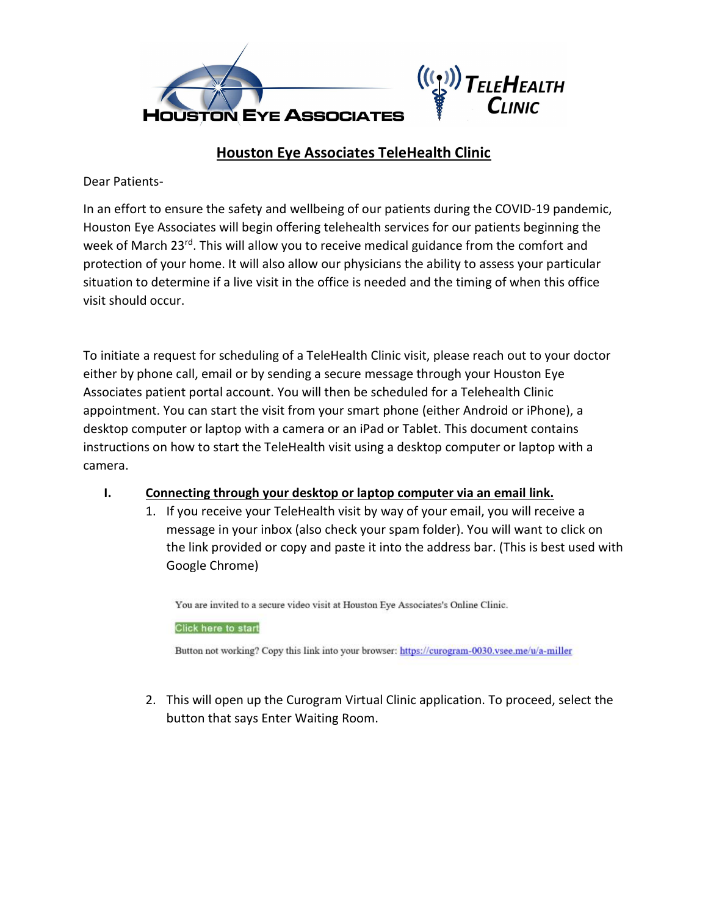

## Houston Eye Associates TeleHealth Clinic

Dear Patients-

In an effort to ensure the safety and wellbeing of our patients during the COVID-19 pandemic, Houston Eye Associates will begin offering telehealth services for our patients beginning the week of March 23<sup>rd</sup>. This will allow you to receive medical guidance from the comfort and protection of your home. It will also allow our physicians the ability to assess your particular situation to determine if a live visit in the office is needed and the timing of when this office visit should occur.

To initiate a request for scheduling of a TeleHealth Clinic visit, please reach out to your doctor either by phone call, email or by sending a secure message through your Houston Eye Associates patient portal account. You will then be scheduled for a Telehealth Clinic appointment. You can start the visit from your smart phone (either Android or iPhone), a desktop computer or laptop with a camera or an iPad or Tablet. This document contains instructions on how to start the TeleHealth visit using a desktop computer or laptop with a camera.

## I. Connecting through your desktop or laptop computer via an email link.

1. If you receive your TeleHealth visit by way of your email, you will receive a message in your inbox (also check your spam folder). You will want to click on the link provided or copy and paste it into the address bar. (This is best used with Google Chrome)

You are invited to a secure video visit at Houston Eye Associates's Online Clinic.

**Click here to start** 

Button not working? Copy this link into your browser: https://curogram-0030.vsee.me/u/a-miller

2. This will open up the Curogram Virtual Clinic application. To proceed, select the button that says Enter Waiting Room.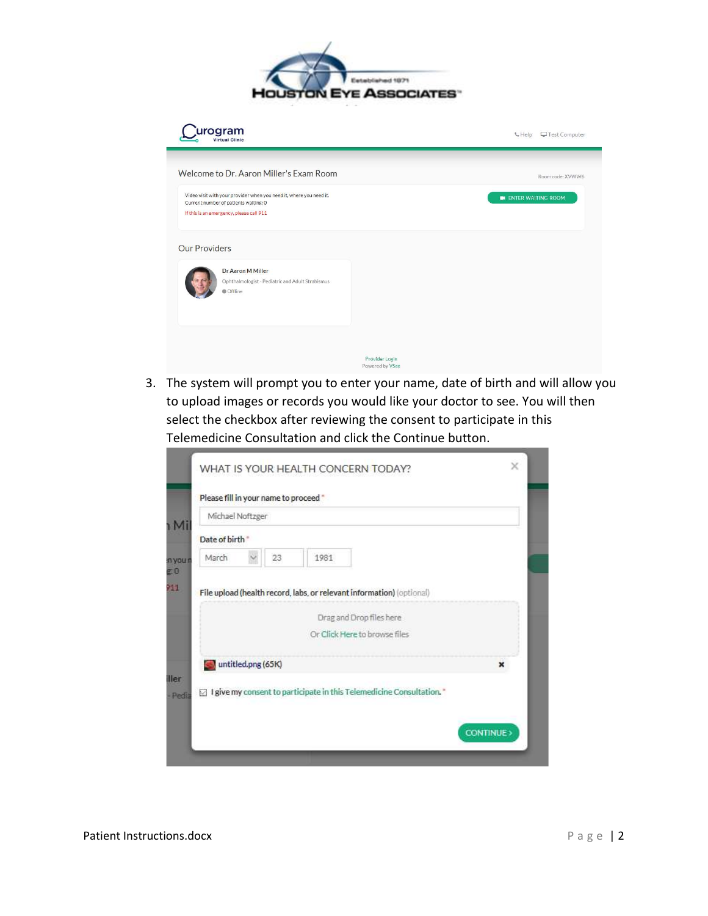

| rogram                                                                                                                                                   | Test Computer<br><b>C</b> Help    |
|----------------------------------------------------------------------------------------------------------------------------------------------------------|-----------------------------------|
| Welcome to Dr. Aaron Miller's Exam Room                                                                                                                  | Room code: XVWW6                  |
| Video visit with your provider when you need it, where you need it.<br>Current number of patients waiting: 0<br>If this is an emergency, please call 911 | <b>ENTER WAITING ROOM</b>         |
| <b>Our Providers</b>                                                                                                                                     |                                   |
| Dr Aaron M Miller<br>Ophthalmologist - Pediatric and Adult Strabismus<br><b>Offline</b>                                                                  |                                   |
|                                                                                                                                                          | Provider Login<br>Powered by VSee |

3. The system will prompt you to enter your name, date of birth and will allow you to upload images or records you would like your doctor to see. You will then select the checkbox after reviewing the consent to participate in this Telemedicine Consultation and click the Continue button.

| Michael Noftzger          |    |                                                                        |   |
|---------------------------|----|------------------------------------------------------------------------|---|
| Date of birth             |    |                                                                        |   |
| March                     | 23 | 1981                                                                   |   |
|                           |    | Or Click Here to browse files                                          |   |
|                           |    |                                                                        |   |
| $\Box$ untitled.png (65K) |    |                                                                        | × |
|                           |    | □ I give my consent to participate in this Telemedicine Consultation." |   |
|                           |    |                                                                        |   |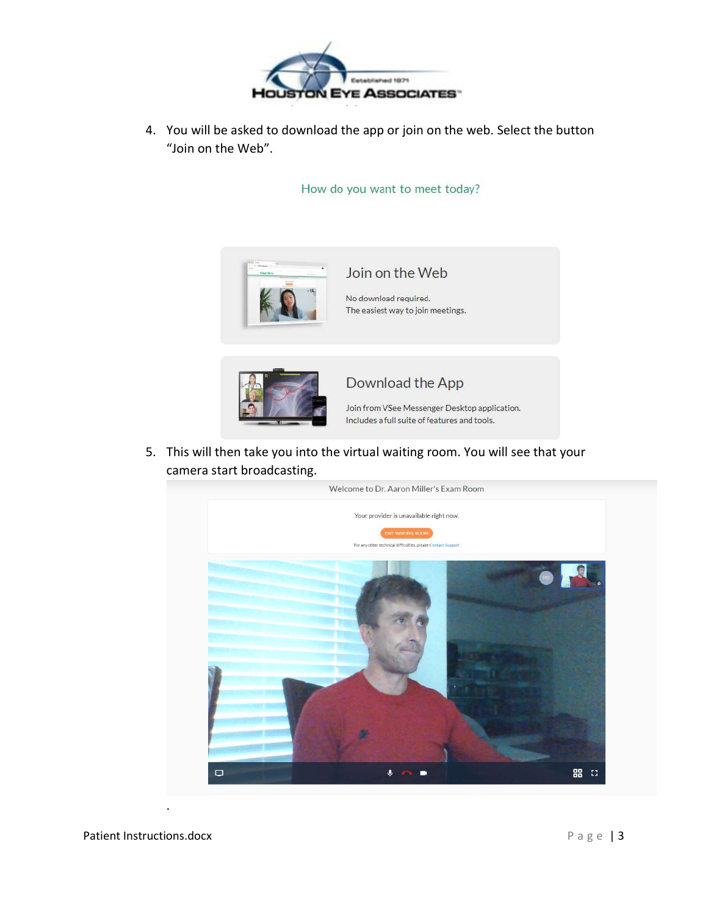

4. You will be asked to download the app or join on the web. Select the button "Join on the Web".

How do you want to meet today?





Download the App

Join from VSee Messenger Desktop application. Includes a full suite of features and tools.

5. This will then take you into the virtual waiting room. You will see that your camera start broadcasting.



Patient Instructions.docx P a g e | 3

.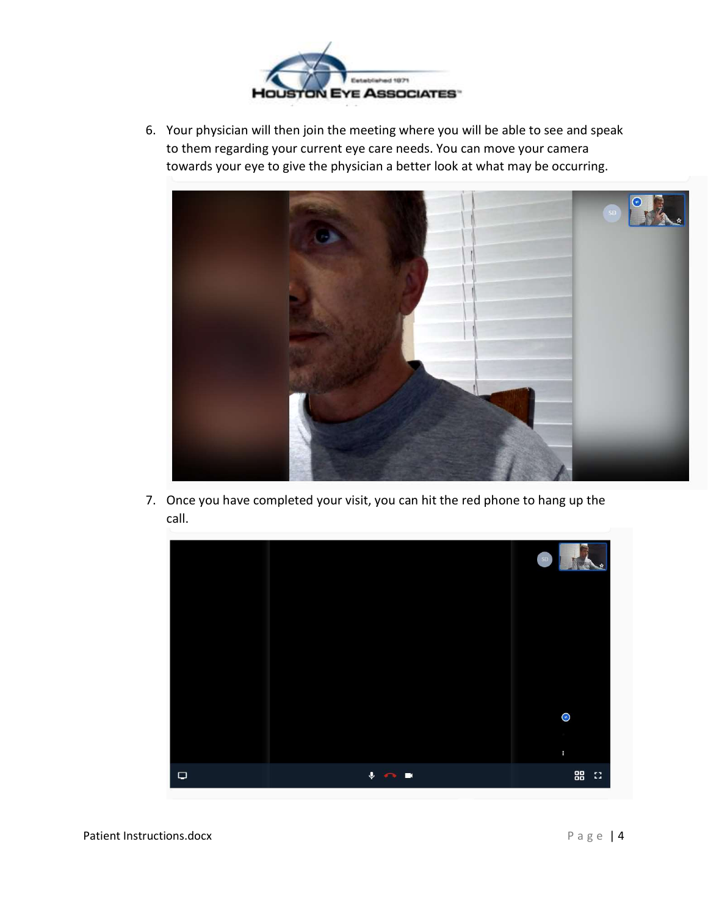

6. Your physician will then join the meeting where you will be able to see and speak to them regarding your current eye care needs. You can move your camera towards your eye to give the physician a better look at what may be occurring.



7. Once you have completed your visit, you can hit the red phone to hang up the call.



Patient Instructions.docx P a g e | 4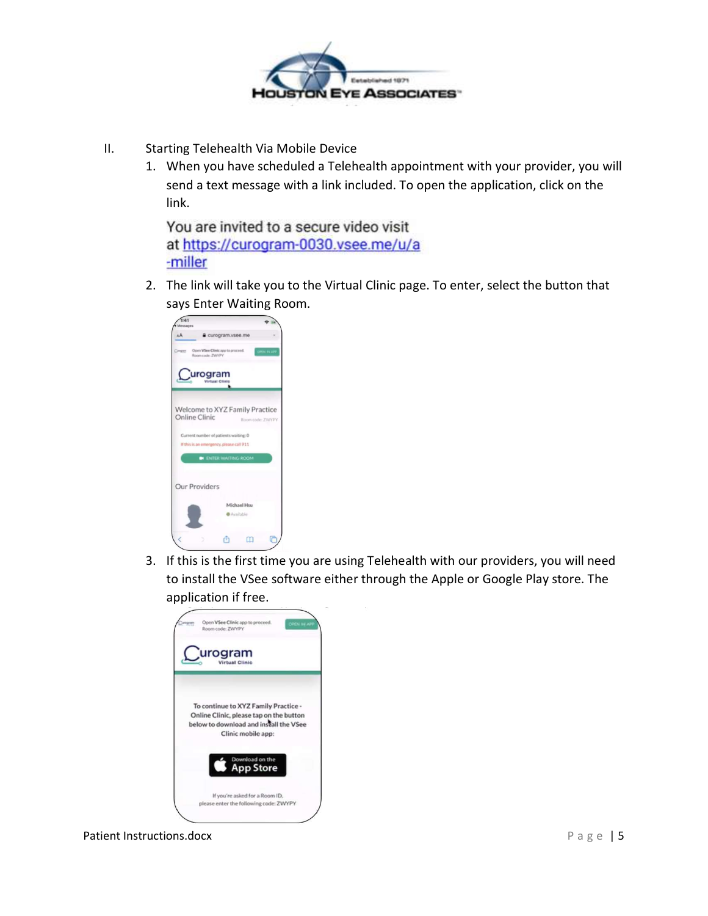

- II. Starting Telehealth Via Mobile Device
	- 1. When you have scheduled a Telehealth appointment with your provider, you will send a text message with a link included. To open the application, click on the link.

You are invited to a secure video visit at https://curogram-0030.vsee.me/u/a -miller

2. The link will take you to the Virtual Clinic page. To enter, select the button that says Enter Waiting Room.



3. If this is the first time you are using Telehealth with our providers, you will need to install the VSee software either through the Apple or Google Play store. The application if free.



Patient Instructions.docx example a g e | 5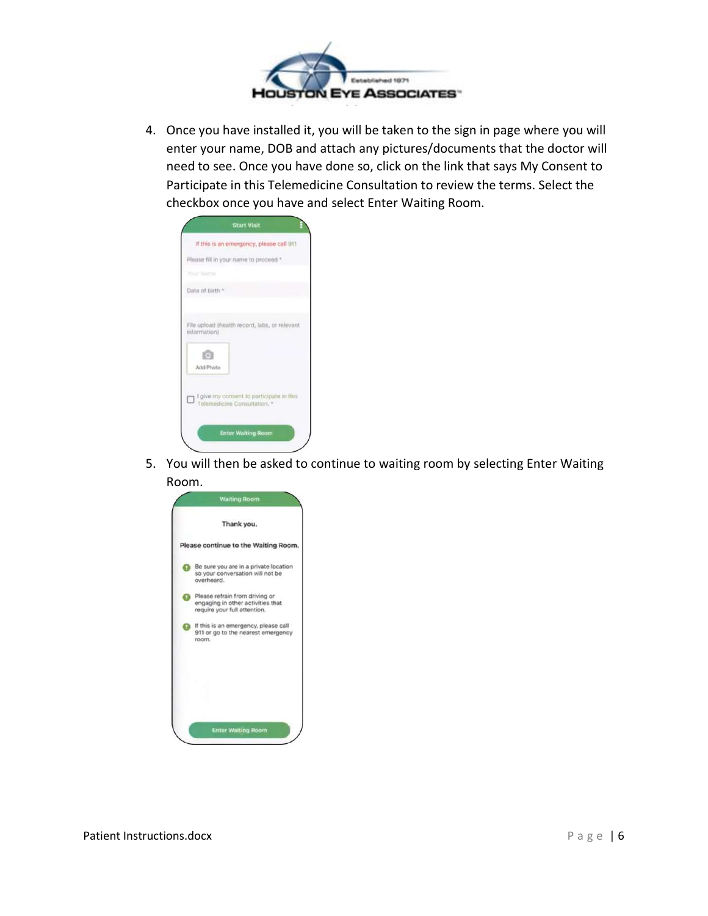

4. Once you have installed it, you will be taken to the sign in page where you will enter your name, DOB and attach any pictures/documents that the doctor will need to see. Once you have done so, click on the link that says My Consent to Participate in this Telemedicine Consultation to review the terms. Select the checkbox once you have and select Enter Waiting Room.

| If this is an emergency, please call 911<br>Please fill in your name to proceed."<br>Your Name<br>Date of birth *<br>File upload (health record, labs, or relevant<br>information)<br>$\lceil \cdot \rangle$<br>Add Photo |
|---------------------------------------------------------------------------------------------------------------------------------------------------------------------------------------------------------------------------|
|                                                                                                                                                                                                                           |
|                                                                                                                                                                                                                           |
|                                                                                                                                                                                                                           |
|                                                                                                                                                                                                                           |
|                                                                                                                                                                                                                           |
| I give my consent to participate in this<br>о<br>Telemedicine Consultation. *                                                                                                                                             |

5. You will then be asked to continue to waiting room by selecting Enter Waiting Room.